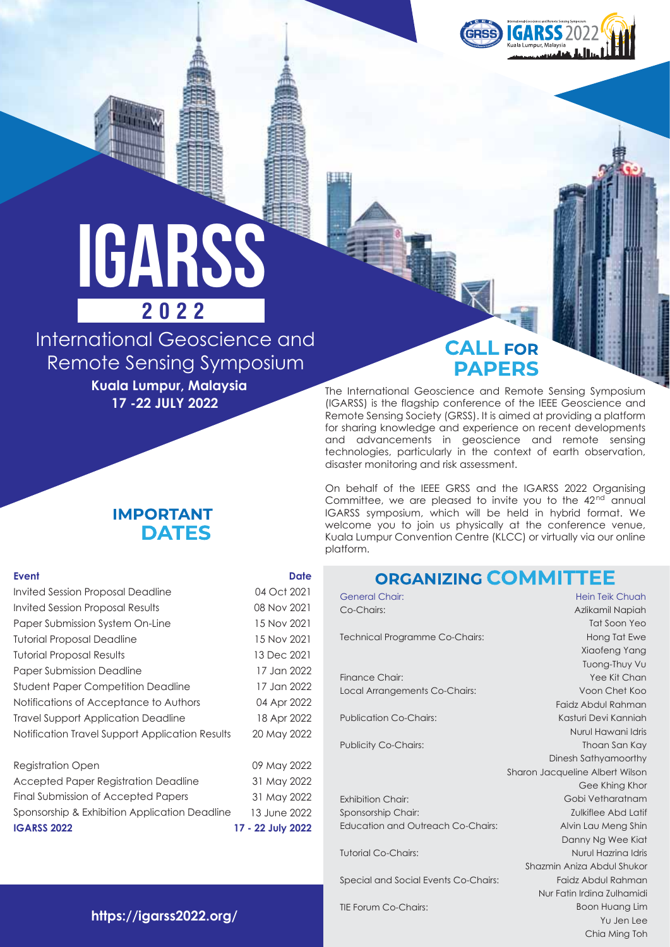

# iGARSS **2022**

International Geoscience and Remote Sensing Symposium

**Kuala Lumpur, Malaysia 17 -22 JULY 2022**

## **CALL FOR PAPERS**

The International Geoscience and Remote Sensing Symposium (IGARSS) is the flagship conference of the IEEE Geoscience and Remote Sensing Society (GRSS). It is aimed at providing a platform for sharing knowledge and experience on recent developments and advancements in geoscience and remote sensing technologies, particularly in the context of earth observation, disaster monitoring and risk assessment.

On behalf of the IEEE GRSS and the IGARSS 2022 Organising Committee, we are pleased to invite you to the 42<sup>nd</sup> annual IGARSS symposium, which will be held in hybrid format. We welcome you to join us physically at the conference venue, Kuala Lumpur Convention Centre (KLCC) or virtually via our online platform.

# **ODCANIZING COMMITTEE**

| vivoru vieni                             |                                 |
|------------------------------------------|---------------------------------|
| <b>General Chair:</b>                    | Hein Teik Chuah                 |
| Co-Chairs:                               | Azlikamil Napiah                |
|                                          | Tat Soon Yeo                    |
| Technical Programme Co-Chairs:           | Hong Tat Ewe                    |
|                                          | Xiaofeng Yang                   |
|                                          | Tuong-Thuy Vu                   |
| Finance Chair:                           | Yee Kit Chan                    |
| Local Arrangements Co-Chairs:            | Voon Chet Koo                   |
|                                          | Faidz Abdul Rahman              |
| <b>Publication Co-Chairs:</b>            | Kasturi Devi Kanniah            |
|                                          | Nurul Hawani Idris              |
| <b>Publicity Co-Chairs:</b>              | Thoan San Kay                   |
|                                          | Dinesh Sathyamoorthy            |
|                                          | Sharon Jacqueline Albert Wilson |
|                                          | Gee Khing Khor                  |
| <b>Exhibition Chair:</b>                 | Gobi Vetharatnam                |
| Sponsorship Chair:                       | Zulkiflee Abd Latif             |
| <b>Education and Outreach Co-Chairs:</b> | Alvin Lau Meng Shin             |
|                                          | Danny Ng Wee Kiat               |
| <b>Tutorial Co-Chairs:</b>               | Nurul Hazrina Idris             |
|                                          | Shazmin Aniza Abdul Shukor      |
| Special and Social Events Co-Chairs:     | Faidz Abdul Rahman              |
|                                          | Nur Fatin Irdina Zulhamidi      |
| <b>TIE Forum Co-Chairs:</b>              | <b>Boon Huang Lim</b>           |
|                                          | Yu Jen Lee                      |

Chia Ming Toh

## **IMPORTANT DATES**

#### **Event**

| <b>Event</b>                                    | <b>Date</b> |
|-------------------------------------------------|-------------|
| <b>Invited Session Proposal Deadline</b>        | 04 Oct 2021 |
| Invited Session Proposal Results                | 08 Nov 2021 |
| Paper Submission System On-Line                 | 15 Nov 2021 |
| <b>Tutorial Proposal Deadline</b>               | 15 Nov 2021 |
| <b>Tutorial Proposal Results</b>                | 13 Dec 2021 |
| <b>Paper Submission Deadline</b>                | 17 Jan 2022 |
| <b>Student Paper Competition Deadline</b>       | 17 Jan 2022 |
| Notifications of Acceptance to Authors          | 04 Apr 2022 |
| Travel Support Application Deadline             | 18 Apr 2022 |
| Notification Travel Support Application Results | 20 May 2022 |
| <b>Registration Open</b>                        | 09 May 2022 |
| Accepted Paper Registration Deadline            | 31 May 2022 |

| <b>IGARSS 2022</b>                            | 17 - 22 July 2022 |
|-----------------------------------------------|-------------------|
| Sponsorship & Exhibition Application Deadline | 13 June 2022      |
| Final Submission of Accepted Papers           | 31 May 2022       |
| Accepted Paper Registration Deadline          | 31 May 2022       |

**https://igarss2022.org/**